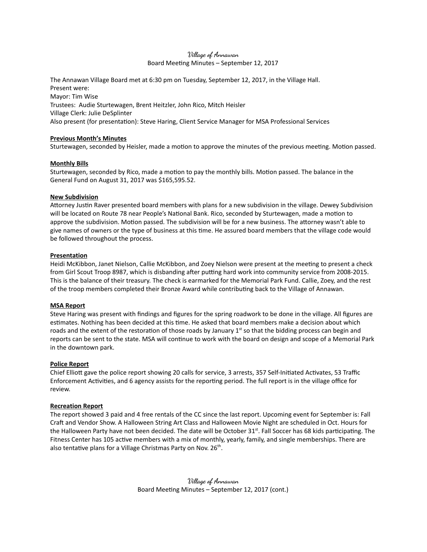## Village of Annawan Board Meeting Minutes - September 12, 2017

The Annawan Village Board met at 6:30 pm on Tuesday, September 12, 2017, in the Village Hall. Present were: Mayor: Tim Wise Trustees: Audie Sturtewagen, Brent Heitzler, John Rico, Mitch Heisler Village Clerk: Julie DeSplinter Also present (for presentation): Steve Haring, Client Service Manager for MSA Professional Services

## Previous Month's Minutes

Sturtewagen, seconded by Heisler, made a motion to approve the minutes of the previous meeting. Motion passed.

## Monthly Bills

Sturtewagen, seconded by Rico, made a motion to pay the monthly bills. Motion passed. The balance in the General Fund on August 31, 2017 was \$165,595.52.

## New Subdivision

Attorney Justin Raver presented board members with plans for a new subdivision in the village. Dewey Subdivision will be located on Route 78 near People's National Bank. Rico, seconded by Sturtewagen, made a motion to approve the subdivision. Motion passed. The subdivision will be for a new business. The attorney wasn't able to give names of owners or the type of business at this time. He assured board members that the village code would be followed throughout the process.

### Presentation

Heidi McKibbon, Janet Nielson, Callie McKibbon, and Zoey Nielson were present at the meeting to present a check from Girl Scout Troop 8987, which is disbanding after putting hard work into community service from 2008-2015. This is the balance of their treasury. The check is earmarked for the Memorial Park Fund. Callie, Zoey, and the rest of the troop members completed their Bronze Award while contributing back to the Village of Annawan.

### MSA Report

Steve Haring was present with findings and figures for the spring roadwork to be done in the village. All figures are estimates. Nothing has been decided at this time. He asked that board members make a decision about which roads and the extent of the restoration of those roads by January 1<sup>st</sup> so that the bidding process can begin and reports can be sent to the state. MSA will continue to work with the board on design and scope of a Memorial Park in the downtown park.

# Police Report

Chief Elliott gave the police report showing 20 calls for service, 3 arrests, 357 Self-Initiated Activates, 53 Traffic Enforcement Activities, and 6 agency assists for the reporting period. The full report is in the village office for review.

# Recreation Report

The report showed 3 paid and 4 free rentals of the CC since the last report. Upcoming event for September is: Fall Craft and Vendor Show. A Halloween String Art Class and Halloween Movie Night are scheduled in Oct. Hours for the Halloween Party have not been decided. The date will be October 31<sup>st</sup>. Fall Soccer has 68 kids participating. The Fitness Center has 105 active members with a mix of monthly, yearly, family, and single memberships. There are also tentative plans for a Village Christmas Party on Nov. 26<sup>th</sup>.